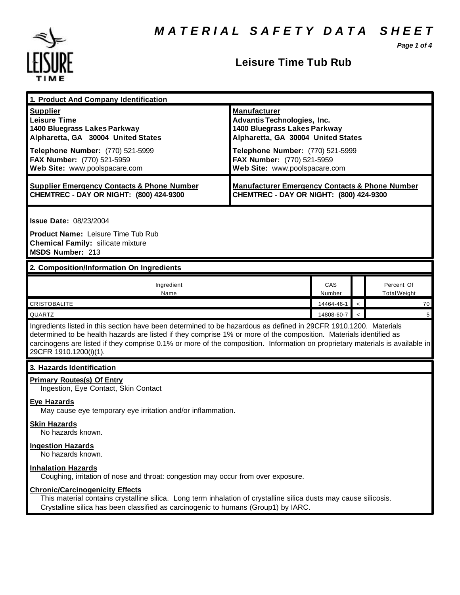*Page 1 of 4*



### **Leisure Time Tub Rub**

| 1. Product And Company Identification                                                                                                                                                                                                                                                                                                                                                             |                                                                                                                                                                                                                                    |               |                          |                                   |  |
|---------------------------------------------------------------------------------------------------------------------------------------------------------------------------------------------------------------------------------------------------------------------------------------------------------------------------------------------------------------------------------------------------|------------------------------------------------------------------------------------------------------------------------------------------------------------------------------------------------------------------------------------|---------------|--------------------------|-----------------------------------|--|
| <b>Supplier</b><br><b>Leisure Time</b><br>1400 Bluegrass Lakes Parkway<br>Alpharetta, GA 30004 United States<br>Telephone Number: (770) 521-5999<br>FAX Number: (770) 521-5959<br>Web Site: www.poolspacare.com                                                                                                                                                                                   | <b>Manufacturer</b><br><b>Advantis Technologies, Inc.</b><br>1400 Bluegrass Lakes Parkway<br>Alpharetta, GA 30004 United States<br>Telephone Number: (770) 521-5999<br>FAX Number: (770) 521-5959<br>Web Site: www.poolspacare.com |               |                          |                                   |  |
| <b>Supplier Emergency Contacts &amp; Phone Number</b><br>CHEMTREC - DAY OR NIGHT: (800) 424-9300                                                                                                                                                                                                                                                                                                  | <b>Manufacturer Emergency Contacts &amp; Phone Number</b><br>CHEMTREC - DAY OR NIGHT: (800) 424-9300                                                                                                                               |               |                          |                                   |  |
| <b>Issue Date: 08/23/2004</b><br><b>Product Name: Leisure Time Tub Rub</b><br><b>Chemical Family: silicate mixture</b><br>MSDS Number: 213                                                                                                                                                                                                                                                        |                                                                                                                                                                                                                                    |               |                          |                                   |  |
| 2. Composition/Information On Ingredients                                                                                                                                                                                                                                                                                                                                                         |                                                                                                                                                                                                                                    |               |                          |                                   |  |
| Ingredient<br>Name                                                                                                                                                                                                                                                                                                                                                                                |                                                                                                                                                                                                                                    | CAS<br>Number |                          | Percent Of<br><b>Total Weight</b> |  |
| <b>CRISTOBALITE</b>                                                                                                                                                                                                                                                                                                                                                                               |                                                                                                                                                                                                                                    | 14464-46-1    | $\overline{\phantom{a}}$ | 70                                |  |
| QUARTZ                                                                                                                                                                                                                                                                                                                                                                                            |                                                                                                                                                                                                                                    | 14808-60-7    |                          | $5\phantom{.0}$                   |  |
| Ingredients listed in this section have been determined to be hazardous as defined in 29CFR 1910.1200. Materials<br>determined to be health hazards are listed if they comprise 1% or more of the composition. Materials identified as<br>carcinogens are listed if they comprise 0.1% or more of the composition. Information on proprietary materials is available in<br>29CFR 1910.1200(i)(1). |                                                                                                                                                                                                                                    |               |                          |                                   |  |
| 3. Hazards Identification                                                                                                                                                                                                                                                                                                                                                                         |                                                                                                                                                                                                                                    |               |                          |                                   |  |
| <b>Primary Routes(s) Of Entry</b><br>Ingestion, Eye Contact, Skin Contact<br><b>Eye Hazards</b><br>May cause eye temporary eye irritation and/or inflammation.<br><b>Skin Hazards</b><br>No hazards known.                                                                                                                                                                                        |                                                                                                                                                                                                                                    |               |                          |                                   |  |
| <b>Ingestion Hazards</b><br>No hazards known.                                                                                                                                                                                                                                                                                                                                                     |                                                                                                                                                                                                                                    |               |                          |                                   |  |
| <b>Inhalation Hazards</b><br>Coughing, irritation of nose and throat: congestion may occur from over exposure.                                                                                                                                                                                                                                                                                    |                                                                                                                                                                                                                                    |               |                          |                                   |  |
| <b>Chronic/Carcinogenicity Effects</b><br>This material contains crystalline silica. Long term inhalation of crystalline silica dusts may cause silicosis.<br>Crystalline silica has been classified as carcinogenic to humans (Group1) by IARC.                                                                                                                                                  |                                                                                                                                                                                                                                    |               |                          |                                   |  |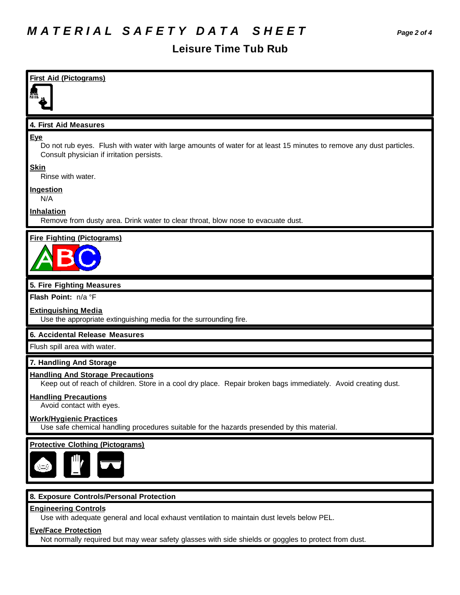## **Leisure Time Tub Rub**

| Do not rub eyes. Flush with water with large amounts of water for at least 15 minutes to remove any dust particles.<br>Consult physician if irritation persists.<br>Rinse with water.<br>N/A<br>Remove from dusty area. Drink water to clear throat, blow nose to evacuate dust.<br>Use the appropriate extinguishing media for the surrounding fire.<br>Keep out of reach of children. Store in a cool dry place. Repair broken bags immediately. Avoid creating dust.<br>Avoid contact with eyes<br>Use safe chemical handling procedures suitable for the hazards presended by this material.<br>8. Exposure Controls/Personal Protection<br>Use with adequate general and local exhaust ventilation to maintain dust levels below PEL. | <b>First Aid (Pictograms)</b>                                                                                                      |
|--------------------------------------------------------------------------------------------------------------------------------------------------------------------------------------------------------------------------------------------------------------------------------------------------------------------------------------------------------------------------------------------------------------------------------------------------------------------------------------------------------------------------------------------------------------------------------------------------------------------------------------------------------------------------------------------------------------------------------------------|------------------------------------------------------------------------------------------------------------------------------------|
|                                                                                                                                                                                                                                                                                                                                                                                                                                                                                                                                                                                                                                                                                                                                            |                                                                                                                                    |
|                                                                                                                                                                                                                                                                                                                                                                                                                                                                                                                                                                                                                                                                                                                                            | 4. First Aid Measures                                                                                                              |
|                                                                                                                                                                                                                                                                                                                                                                                                                                                                                                                                                                                                                                                                                                                                            | Eye                                                                                                                                |
|                                                                                                                                                                                                                                                                                                                                                                                                                                                                                                                                                                                                                                                                                                                                            | <b>Skin</b>                                                                                                                        |
|                                                                                                                                                                                                                                                                                                                                                                                                                                                                                                                                                                                                                                                                                                                                            | <b>Ingestion</b>                                                                                                                   |
|                                                                                                                                                                                                                                                                                                                                                                                                                                                                                                                                                                                                                                                                                                                                            | <b>Inhalation</b>                                                                                                                  |
|                                                                                                                                                                                                                                                                                                                                                                                                                                                                                                                                                                                                                                                                                                                                            | <b>Fire Fighting (Pictograms)</b>                                                                                                  |
|                                                                                                                                                                                                                                                                                                                                                                                                                                                                                                                                                                                                                                                                                                                                            |                                                                                                                                    |
|                                                                                                                                                                                                                                                                                                                                                                                                                                                                                                                                                                                                                                                                                                                                            | 5. Fire Fighting Measures                                                                                                          |
|                                                                                                                                                                                                                                                                                                                                                                                                                                                                                                                                                                                                                                                                                                                                            | Flash Point: n/a °F                                                                                                                |
|                                                                                                                                                                                                                                                                                                                                                                                                                                                                                                                                                                                                                                                                                                                                            | <b>Extinguishing Media</b>                                                                                                         |
|                                                                                                                                                                                                                                                                                                                                                                                                                                                                                                                                                                                                                                                                                                                                            | 6. Accidental Release Measures                                                                                                     |
|                                                                                                                                                                                                                                                                                                                                                                                                                                                                                                                                                                                                                                                                                                                                            | Flush spill area with water.                                                                                                       |
|                                                                                                                                                                                                                                                                                                                                                                                                                                                                                                                                                                                                                                                                                                                                            | 7. Handling And Storage                                                                                                            |
|                                                                                                                                                                                                                                                                                                                                                                                                                                                                                                                                                                                                                                                                                                                                            | <b>Handling And Storage Precautions</b>                                                                                            |
|                                                                                                                                                                                                                                                                                                                                                                                                                                                                                                                                                                                                                                                                                                                                            | <b>Handling Precautions</b>                                                                                                        |
|                                                                                                                                                                                                                                                                                                                                                                                                                                                                                                                                                                                                                                                                                                                                            | <b>Work/Hygienic Practices</b>                                                                                                     |
|                                                                                                                                                                                                                                                                                                                                                                                                                                                                                                                                                                                                                                                                                                                                            | <b>Protective Clothing (Pictograms)</b>                                                                                            |
|                                                                                                                                                                                                                                                                                                                                                                                                                                                                                                                                                                                                                                                                                                                                            |                                                                                                                                    |
|                                                                                                                                                                                                                                                                                                                                                                                                                                                                                                                                                                                                                                                                                                                                            | <b>Engineering Controls</b>                                                                                                        |
|                                                                                                                                                                                                                                                                                                                                                                                                                                                                                                                                                                                                                                                                                                                                            | <b>Eye/Face Protection</b><br>Not normally required but may wear safety glasses with side shields or goggles to protect from dust. |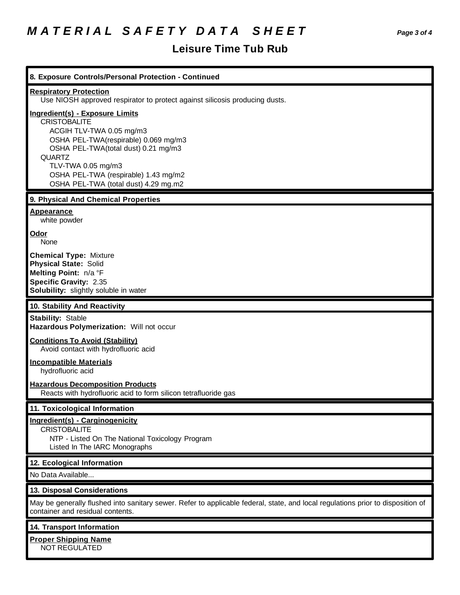# *M A T E R I A L S A F E T Y D A T A S H E E T Page 3 of 4*

## **Leisure Time Tub Rub**

| 8. Exposure Controls/Personal Protection - Continued                                                                                                                                                                                                                                            |
|-------------------------------------------------------------------------------------------------------------------------------------------------------------------------------------------------------------------------------------------------------------------------------------------------|
| <b>Respiratory Protection</b><br>Use NIOSH approved respirator to protect against silicosis producing dusts.                                                                                                                                                                                    |
| <b>Ingredient(s) - Exposure Limits</b><br><b>CRISTOBALITE</b><br>ACGIH TLV-TWA 0.05 mg/m3<br>OSHA PEL-TWA(respirable) 0.069 mg/m3<br>OSHA PEL-TWA(total dust) 0.21 mg/m3<br><b>QUARTZ</b><br>TLV-TWA 0.05 mg/m3<br>OSHA PEL-TWA (respirable) 1.43 mg/m2<br>OSHA PEL-TWA (total dust) 4.29 mg.m2 |
| 9. Physical And Chemical Properties                                                                                                                                                                                                                                                             |
| Appearance<br>white powder                                                                                                                                                                                                                                                                      |
| Odor<br>None                                                                                                                                                                                                                                                                                    |
| <b>Chemical Type: Mixture</b><br><b>Physical State: Solid</b><br>Melting Point: n/a °F<br><b>Specific Gravity: 2.35</b><br>Solubility: slightly soluble in water                                                                                                                                |
| 10. Stability And Reactivity                                                                                                                                                                                                                                                                    |
| <b>Stability: Stable</b><br>Hazardous Polymerization: Will not occur<br><b>Conditions To Avoid (Stability)</b>                                                                                                                                                                                  |
| Avoid contact with hydrofluoric acid                                                                                                                                                                                                                                                            |
| <b>Incompatible Materials</b><br>hydrofluoric acid                                                                                                                                                                                                                                              |
| <b>Hazardous Decomposition Products</b><br>Reacts with hydrofluoric acid to form silicon tetrafluoride gas                                                                                                                                                                                      |
| 11. Toxicological Information                                                                                                                                                                                                                                                                   |
| Ingredient(s) - Carginogenicity<br><b>CRISTOBALITE</b><br>NTP - Listed On The National Toxicology Program<br>Listed In The IARC Monographs                                                                                                                                                      |
| 12. Ecological Information                                                                                                                                                                                                                                                                      |
| No Data Available                                                                                                                                                                                                                                                                               |
| 13. Disposal Considerations                                                                                                                                                                                                                                                                     |
| May be generally flushed into sanitary sewer. Refer to applicable federal, state, and local regulations prior to disposition of<br>container and residual contents.                                                                                                                             |
| 14. Transport Information                                                                                                                                                                                                                                                                       |
| <b>Proper Shipping Name</b><br>NOT REGULATED                                                                                                                                                                                                                                                    |